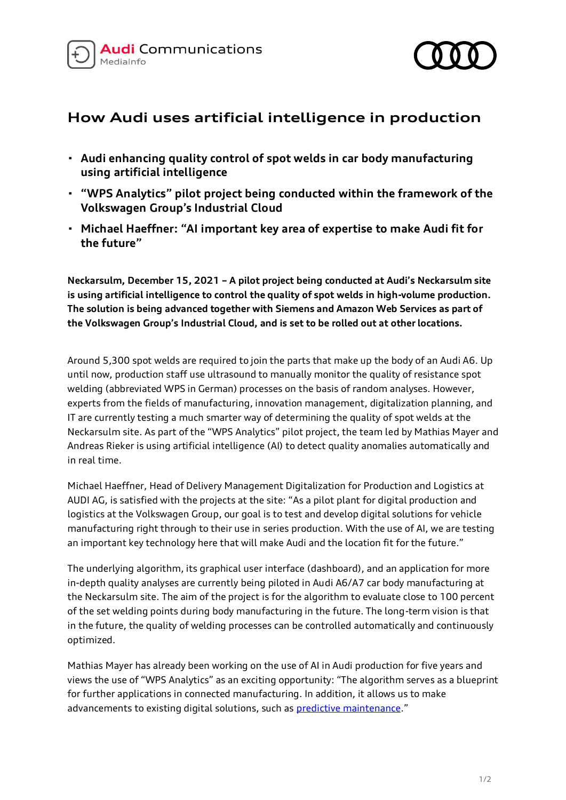



## **How Audi uses artificial intelligence in production**

- **· Audi enhancing quality control of spot welds in car body manufacturing using artificial intelligence**
- **· "WPS Analytics" pilot project being conducted within the framework of the Volkswagen Group's Industrial Cloud**
- **· Michael Haeffner: "AI important key area of expertise to make Audi fit for the future"**

**Neckarsulm, December 15, 2021 – A pilot project being conducted at Audi's Neckarsulm site is using artificial intelligence to control the quality of spot welds in high-volume production. The solution is being advanced together with Siemens and Amazon Web Services as part of the Volkswagen Group's Industrial Cloud, and is set to be rolled out at other locations.**

Around 5,300 spot welds are required to join the parts that make up the body of an Audi A6. Up until now, production staff use ultrasound to manually monitor the quality of resistance spot welding (abbreviated WPS in German) processes on the basis of random analyses. However, experts from the fields of manufacturing, innovation management, digitalization planning, and IT are currently testing a much smarter way of determining the quality of spot welds at the Neckarsulm site. As part of the "WPS Analytics" pilot project, the team led by Mathias Mayer and Andreas Rieker is using artificial intelligence (AI) to detect quality anomalies automatically and in real time.

Michael Haeffner, Head of Delivery Management Digitalization for Production and Logistics at AUDI AG, is satisfied with the projects at the site: "As a pilot plant for digital production and logistics at the Volkswagen Group, our goal is to test and develop digital solutions for vehicle manufacturing right through to their use in series production. With the use of AI, we are testing an important key technology here that will make Audi and the location fit for the future."

The underlying algorithm, its graphical user interface (dashboard), and an application for more in-depth quality analyses are currently being piloted in Audi A6/A7 car body manufacturing at the Neckarsulm site. The aim of the project is for the algorithm to evaluate close to 100 percent of the set welding points during body manufacturing in the future. The long-term vision is that in the future, the quality of welding processes can be controlled automatically and continuously optimized.

Mathias Mayer has already been working on the use of AI in Audi production for five years and views the use of "WPS Analytics" as an exciting opportunity: "The algorithm serves as a blueprint for further applications in connected manufacturing. In addition, it allows us to make advancements to existing digital solutions, such a[s predictive maintenance](https://www.audi-mediacenter.com/en/press-releases/predictive-maintenance-audi-maintenance-uses-data-to-predict-the-future-12971)."